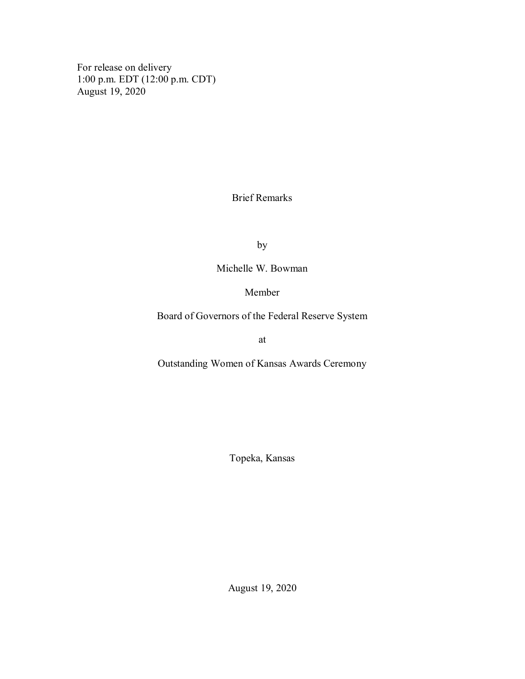For release on delivery 1:00 p.m. EDT (12:00 p.m. CDT) August 19, 2020

Brief Remarks

by

Michelle W. Bowman

## Member

Board of Governors of the Federal Reserve System

at

Outstanding Women of Kansas Awards Ceremony

Topeka, Kansas

August 19, 2020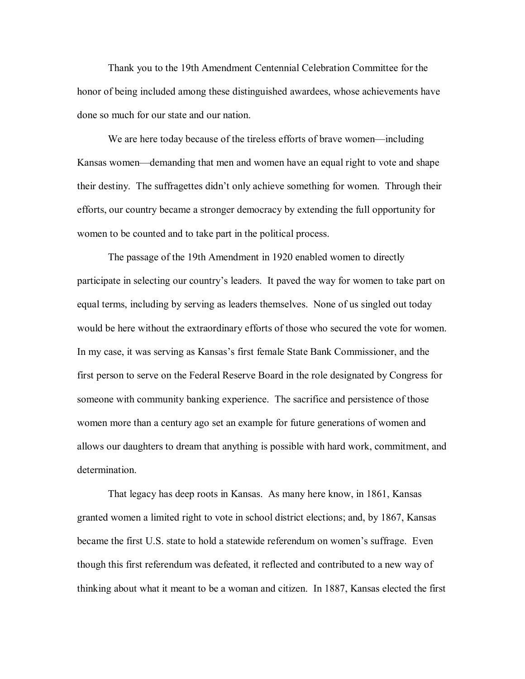Thank you to the 19th Amendment Centennial Celebration Committee for the honor of being included among these distinguished awardees, whose achievements have done so much for our state and our nation.

We are here today because of the tireless efforts of brave women—including Kansas women—demanding that men and women have an equal right to vote and shape their destiny. The suffragettes didn't only achieve something for women. Through their efforts, our country became a stronger democracy by extending the full opportunity for women to be counted and to take part in the political process.

The passage of the 19th Amendment in 1920 enabled women to directly participate in selecting our country's leaders. It paved the way for women to take part on equal terms, including by serving as leaders themselves. None of us singled out today would be here without the extraordinary efforts of those who secured the vote for women. In my case, it was serving as Kansas's first female State Bank Commissioner, and the first person to serve on the Federal Reserve Board in the role designated by Congress for someone with community banking experience. The sacrifice and persistence of those women more than a century ago set an example for future generations of women and allows our daughters to dream that anything is possible with hard work, commitment, and determination.

That legacy has deep roots in Kansas. As many here know, in 1861, Kansas granted women a limited right to vote in school district elections; and, by 1867, Kansas became the first U.S. state to hold a statewide referendum on women's suffrage. Even though this first referendum was defeated, it reflected and contributed to a new way of thinking about what it meant to be a woman and citizen. In 1887, Kansas elected the first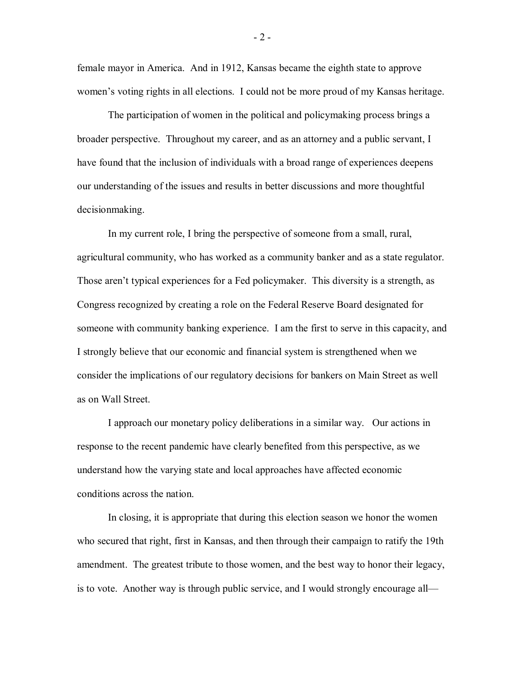female mayor in America. And in 1912, Kansas became the eighth state to approve women's voting rights in all elections. I could not be more proud of my Kansas heritage.

The participation of women in the political and policymaking process brings a broader perspective. Throughout my career, and as an attorney and a public servant, I have found that the inclusion of individuals with a broad range of experiences deepens our understanding of the issues and results in better discussions and more thoughtful decisionmaking.

In my current role, I bring the perspective of someone from a small, rural, agricultural community, who has worked as a community banker and as a state regulator. Those aren't typical experiences for a Fed policymaker. This diversity is a strength, as Congress recognized by creating a role on the Federal Reserve Board designated for someone with community banking experience. I am the first to serve in this capacity, and I strongly believe that our economic and financial system is strengthened when we consider the implications of our regulatory decisions for bankers on Main Street as well as on Wall Street.

I approach our monetary policy deliberations in a similar way. Our actions in response to the recent pandemic have clearly benefited from this perspective, as we understand how the varying state and local approaches have affected economic conditions across the nation.

In closing, it is appropriate that during this election season we honor the women who secured that right, first in Kansas, and then through their campaign to ratify the 19th amendment. The greatest tribute to those women, and the best way to honor their legacy, is to vote. Another way is through public service, and I would strongly encourage all—

- 2 -